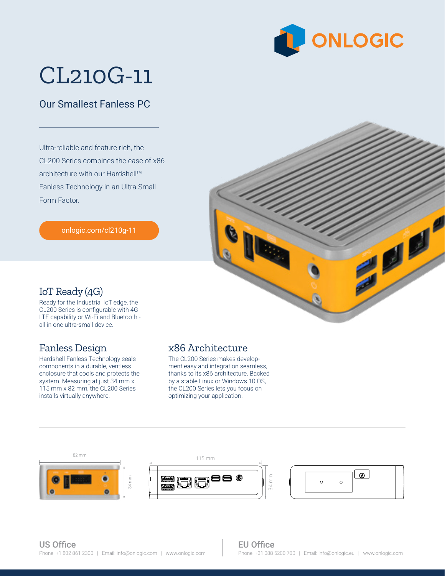

# CL210G-11

### Our Smallest Fanless PC

Ultra-reliable and feature rich, the CL200 Series combines the ease of x86 architecture with our Hardshell™ Fanless Technology in an Ultra Small Form Factor.

[onlogic.com/cl210g-11](https://www.onlogic.com/cl210g-11/)



#### IoT Ready (4G)

Ready for the Industrial IoT edge, the CL200 Series is configurable with 4G LTE capability or Wi-Fi and Bluetooth all in one ultra-small device.

#### Fanless Design

Hardshell Fanless Technology seals components in a durable, ventless enclosure that cools and protects the system. Measuring at just 34 mm x 115 mm x 82 mm, the CL200 Series installs virtually anywhere.

#### x86 Architecture

optimizing your application. The CL200 Series makes development easy and integration seamless, thanks to its x86 architecture. Backed by a stable Linux or Windows 10 OS, the CL200 Series lets you focus on



34 mm

#### EU Office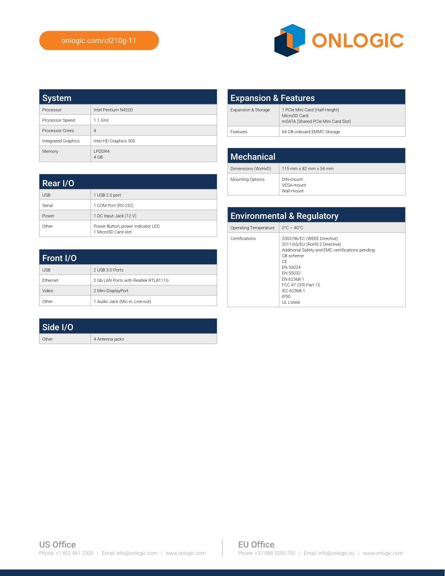

| <b>System</b>       |                        |
|---------------------|------------------------|
| Processor           | Intel Pentium N4200    |
| Processor Speed     | $1.1$ GHz              |
| Processor Cores     | $\overline{4}$         |
| Integrated Graphics | Intel HD Graphics 500  |
| Memory              | <b>I PDDR4</b><br>4 GB |

| <b>Expansion &amp; Features</b> |                                                                                      |
|---------------------------------|--------------------------------------------------------------------------------------|
| Expansion & Storage             | 1 PCIe Mini Card (Half-Height)<br>MicroSD Card<br>mSATA (Shared PCIe Mini Card Slot) |
| Features                        | 64 GB onboard EMMC Storage                                                           |

| <b>Mechanical</b>  |                                       |
|--------------------|---------------------------------------|
| Dimensions (WxHxD) | $115$ mm x 82 mm x 34 mm              |
| Mounting Options   | DIN-mount<br>VFSA-mount<br>Wall-mount |

| <b>Environmental &amp; Regulatory</b> |                                                                                                                                                                                                                                     |  |
|---------------------------------------|-------------------------------------------------------------------------------------------------------------------------------------------------------------------------------------------------------------------------------------|--|
| Operating Temperature                 | $0^{\circ}$ C ~ 40 $^{\circ}$ C                                                                                                                                                                                                     |  |
| Certifications                        | 2002/96/EC (WEEE Directive)<br>2011/65/EU (RoHS 2 Directive)<br>Additional Safety and EMC certifications pending<br>CB scheme<br>CF<br>FN 55024<br>FN 55032<br>FN 62368-1<br>FCC 47 CFR Part 15<br>IFC 62368-1<br>IP50<br>UL Listed |  |

| Rear I/O   |                                                          |
|------------|----------------------------------------------------------|
| <b>USB</b> | 1 USB 2.0 port                                           |
| Serial     | 1 COM Port (RS-232)                                      |
| Power      | 1 DC Input Jack (12 V)                                   |
| Other      | Power Button, power indicator LED<br>1 MicroSD Card slot |

| Front I/O       |                                       |
|-----------------|---------------------------------------|
| <b>USB</b>      | 2 USB 3.0 Ports                       |
| <b>Fthernet</b> | 2 Gb LAN Ports with Realtek RTI 8111G |
| Video           | 2 Mini-DisplayPort                    |
| Other           | 1 Audio Jack (Mic-in, Line-out)       |

| Side I/O |                 |
|----------|-----------------|
| Other    | 4 Antenna jacks |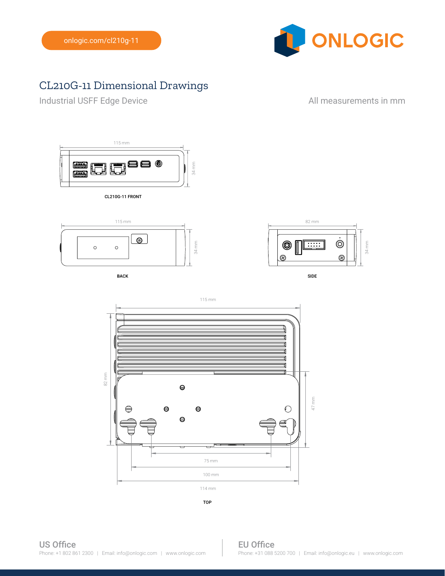

## CL210G-11 Dimensional Drawings

Industrial USFF Edge Device **All measurements in mm** 



CL210G-11 FRONT



BACK SIDE AND INTERNATIONAL SERVICES OF THE SIDE OF THE SIDE OF THE SIDE OF THE SIDE OF THE SIDE OF THE SIDE O